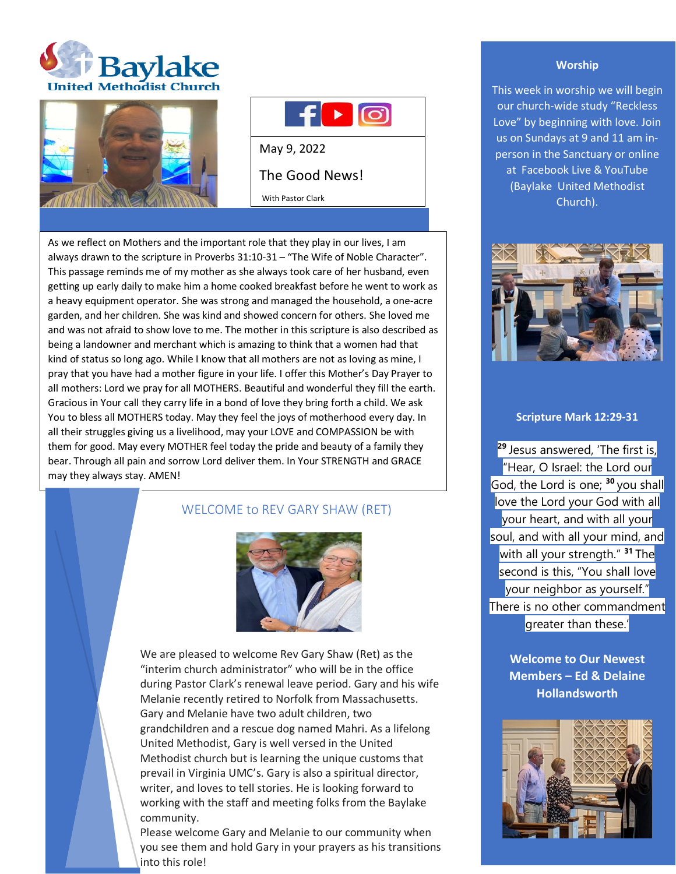





May 9, 2022

## The Good News!

With Pastor Clark

As we reflect on Mothers and the important role that they play in our lives, I am always drawn to the scripture in Proverbs 31:10-31 – "The Wife of Noble Character". This passage reminds me of my mother as she always took care of her husband, even getting up early daily to make him a home cooked breakfast before he went to work as a heavy equipment operator. She was strong and managed the household, a one-acre garden, and her children. She was kind and showed concern for others. She loved me and was not afraid to show love to me. The mother in this scripture is also described as being a landowner and merchant which is amazing to think that a women had that kind of status so long ago. While I know that all mothers are not as loving as mine, I pray that you have had a mother figure in your life. I offer this Mother's Day Prayer to all mothers: Lord we pray for all MOTHERS. Beautiful and wonderful they fill the earth. Gracious in Your call they carry life in a bond of love they bring forth a child. We ask You to bless all MOTHERS today. May they feel the joys of motherhood every day. In all their struggles giving us a livelihood, may your LOVE and COMPASSION be with them for good. May every MOTHER feel today the pride and beauty of a family they bear. Through all pain and sorrow Lord deliver them. In Your STRENGTH and GRACE may they always stay. AMEN!

# WELCOME to REV GARY SHAW (RET)



We are pleased to welcome Rev Gary Shaw (Ret) as the "interim church administrator" who will be in the office during Pastor Clark's renewal leave period. Gary and his wife Melanie recently retired to Norfolk from Massachusetts. Gary and Melanie have two adult children, two grandchildren and a rescue dog named Mahri. As a lifelong United Methodist, Gary is well versed in the United Methodist church but is learning the unique customs that prevail in Virginia UMC's. Gary is also a spiritual director, writer, and loves to tell stories. He is looking forward to working with the staff and meeting folks from the Baylake community.

Please welcome Gary and Melanie to our community when you see them and hold Gary in your prayers as his transitions into this role!

### **Worship**

This week in worship we will begin our church-wide study "Reckless Love" by beginning with love. Join us on Sundays at 9 and 11 am inperson in the Sanctuary or online at Facebook Live & YouTube (Baylake United Methodist Church).



### **Scripture Mark 12:29-31**

**<sup>29</sup>** Jesus answered, 'The first is, "Hear, O Israel: the Lord our God, the Lord is one; **<sup>30</sup>** you shall love the Lord your God with all your heart, and with all your soul, and with all your mind, and with all your strength." **<sup>31</sup>** The second is this, "You shall love your neighbor as yourself." There is no other commandment greater than these.'

> **Welcome to Our Newest Members – Ed & Delaine Hollandsworth**